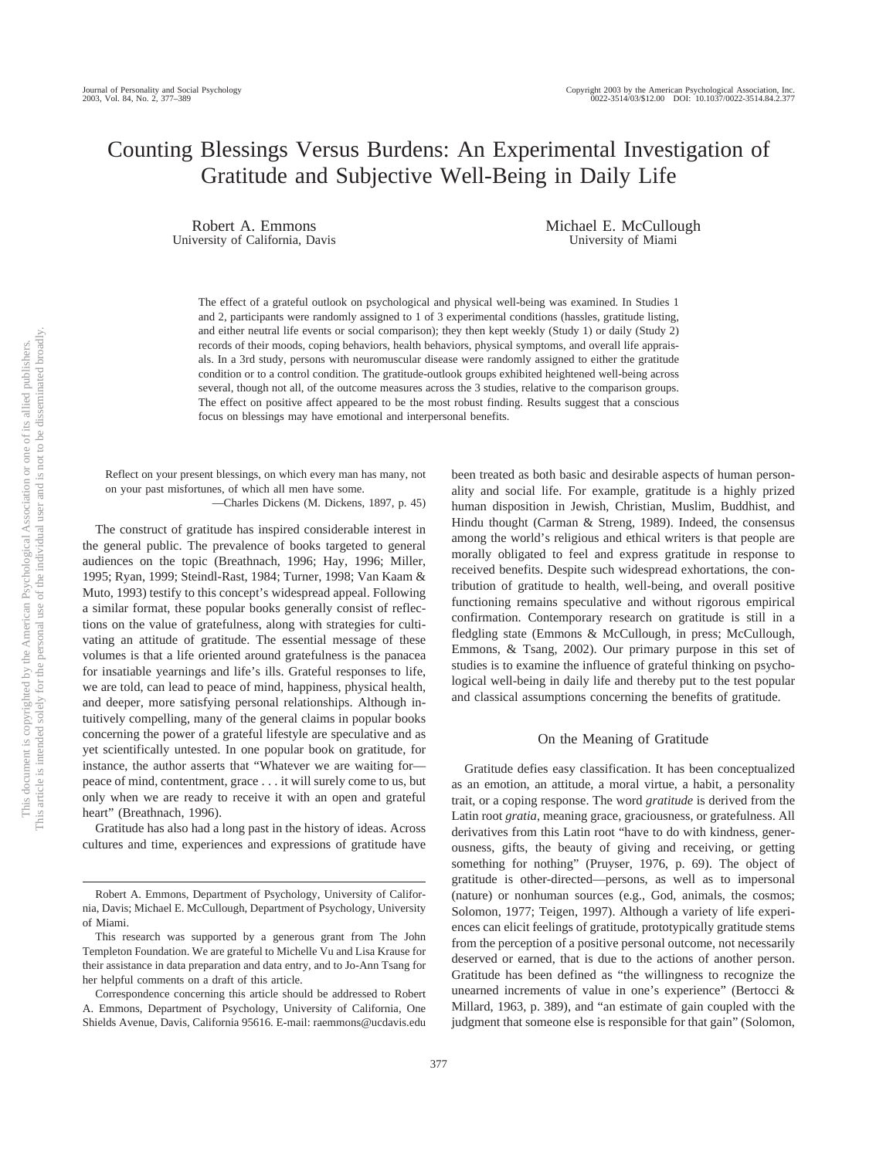# Counting Blessings Versus Burdens: An Experimental Investigation of Gratitude and Subjective Well-Being in Daily Life

Robert A. Emmons University of California, Davis Michael E. McCullough University of Miami

The effect of a grateful outlook on psychological and physical well-being was examined. In Studies 1 and 2, participants were randomly assigned to 1 of 3 experimental conditions (hassles, gratitude listing, and either neutral life events or social comparison); they then kept weekly (Study 1) or daily (Study 2) records of their moods, coping behaviors, health behaviors, physical symptoms, and overall life appraisals. In a 3rd study, persons with neuromuscular disease were randomly assigned to either the gratitude condition or to a control condition. The gratitude-outlook groups exhibited heightened well-being across several, though not all, of the outcome measures across the 3 studies, relative to the comparison groups. The effect on positive affect appeared to be the most robust finding. Results suggest that a conscious focus on blessings may have emotional and interpersonal benefits.

Reflect on your present blessings, on which every man has many, not on your past misfortunes, of which all men have some.

—Charles Dickens (M. Dickens, 1897, p. 45)

The construct of gratitude has inspired considerable interest in the general public. The prevalence of books targeted to general audiences on the topic (Breathnach, 1996; Hay, 1996; Miller, 1995; Ryan, 1999; Steindl-Rast, 1984; Turner, 1998; Van Kaam & Muto, 1993) testify to this concept's widespread appeal. Following a similar format, these popular books generally consist of reflections on the value of gratefulness, along with strategies for cultivating an attitude of gratitude. The essential message of these volumes is that a life oriented around gratefulness is the panacea for insatiable yearnings and life's ills. Grateful responses to life, we are told, can lead to peace of mind, happiness, physical health, and deeper, more satisfying personal relationships. Although intuitively compelling, many of the general claims in popular books concerning the power of a grateful lifestyle are speculative and as yet scientifically untested. In one popular book on gratitude, for instance, the author asserts that "Whatever we are waiting for peace of mind, contentment, grace . . . it will surely come to us, but only when we are ready to receive it with an open and grateful heart" (Breathnach, 1996).

Gratitude has also had a long past in the history of ideas. Across cultures and time, experiences and expressions of gratitude have

Correspondence concerning this article should be addressed to Robert A. Emmons, Department of Psychology, University of California, One Shields Avenue, Davis, California 95616. E-mail: raemmons@ucdavis.edu

been treated as both basic and desirable aspects of human personality and social life. For example, gratitude is a highly prized human disposition in Jewish, Christian, Muslim, Buddhist, and Hindu thought (Carman & Streng, 1989). Indeed, the consensus among the world's religious and ethical writers is that people are morally obligated to feel and express gratitude in response to received benefits. Despite such widespread exhortations, the contribution of gratitude to health, well-being, and overall positive functioning remains speculative and without rigorous empirical confirmation. Contemporary research on gratitude is still in a fledgling state (Emmons & McCullough, in press; McCullough, Emmons, & Tsang, 2002). Our primary purpose in this set of studies is to examine the influence of grateful thinking on psychological well-being in daily life and thereby put to the test popular and classical assumptions concerning the benefits of gratitude.

#### On the Meaning of Gratitude

Gratitude defies easy classification. It has been conceptualized as an emotion, an attitude, a moral virtue, a habit, a personality trait, or a coping response. The word *gratitude* is derived from the Latin root *gratia*, meaning grace, graciousness, or gratefulness. All derivatives from this Latin root "have to do with kindness, generousness, gifts, the beauty of giving and receiving, or getting something for nothing" (Pruyser, 1976, p. 69). The object of gratitude is other-directed—persons, as well as to impersonal (nature) or nonhuman sources (e.g., God, animals, the cosmos; Solomon, 1977; Teigen, 1997). Although a variety of life experiences can elicit feelings of gratitude, prototypically gratitude stems from the perception of a positive personal outcome, not necessarily deserved or earned, that is due to the actions of another person. Gratitude has been defined as "the willingness to recognize the unearned increments of value in one's experience" (Bertocci & Millard, 1963, p. 389), and "an estimate of gain coupled with the judgment that someone else is responsible for that gain" (Solomon,

Robert A. Emmons, Department of Psychology, University of California, Davis; Michael E. McCullough, Department of Psychology, University of Miami.

This research was supported by a generous grant from The John Templeton Foundation. We are grateful to Michelle Vu and Lisa Krause for their assistance in data preparation and data entry, and to Jo-Ann Tsang for her helpful comments on a draft of this article.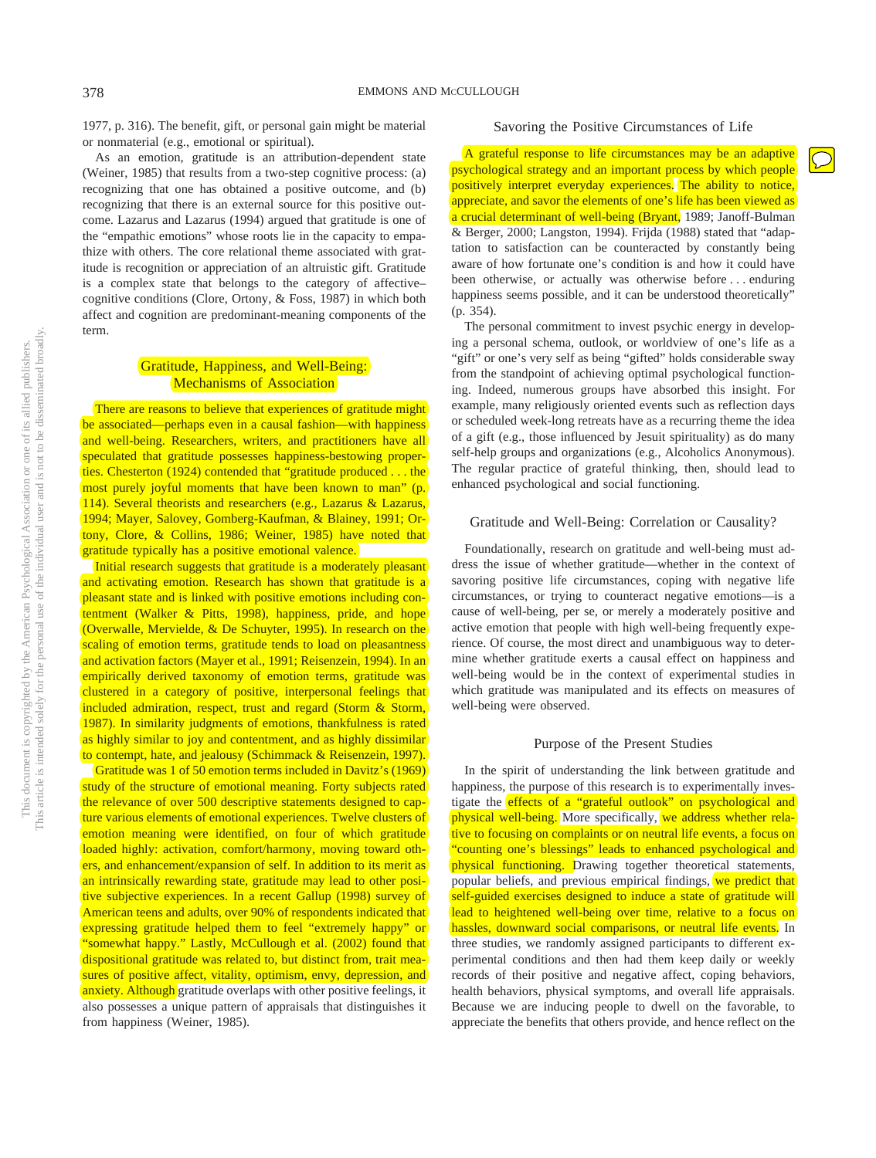1977, p. 316). The benefit, gift, or personal gain might be material or nonmaterial (e.g., emotional or spiritual).

As an emotion, gratitude is an attribution-dependent state (Weiner, 1985) that results from a two-step cognitive process: (a) recognizing that one has obtained a positive outcome, and (b) recognizing that there is an external source for this positive outcome. Lazarus and Lazarus (1994) argued that gratitude is one of the "empathic emotions" whose roots lie in the capacity to empathize with others. The core relational theme associated with gratitude is recognition or appreciation of an altruistic gift. Gratitude is a complex state that belongs to the category of affective– cognitive conditions (Clore, Ortony, & Foss, 1987) in which both affect and cognition are predominant-meaning components of the term.

# Gratitude, Happiness, and Well-Being: Mechanisms of Association

There are reasons to believe that experiences of gratitude might be associated—perhaps even in a causal fashion—with happiness and well-being. Researchers, writers, and practitioners have all speculated that gratitude possesses happiness-bestowing properties. Chesterton (1924) contended that "gratitude produced . . . the most purely joyful moments that have been known to man" (p. 114). Several theorists and researchers (e.g., Lazarus & Lazarus, 1994; Mayer, Salovey, Gomberg-Kaufman, & Blainey, 1991; Ortony, Clore, & Collins, 1986; Weiner, 1985) have noted that gratitude typically has a positive emotional valence.

Initial research suggests that gratitude is a moderately pleasant and activating emotion. Research has shown that gratitude is a pleasant state and is linked with positive emotions including contentment (Walker & Pitts, 1998), happiness, pride, and hope (Overwalle, Mervielde, & De Schuyter, 1995). In research on the scaling of emotion terms, gratitude tends to load on pleasantness and activation factors (Mayer et al., 1991; Reisenzein, 1994). In an empirically derived taxonomy of emotion terms, gratitude was clustered in a category of positive, interpersonal feelings that included admiration, respect, trust and regard (Storm & Storm, 1987). In similarity judgments of emotions, thankfulness is rated as highly similar to joy and contentment, and as highly dissimilar to contempt, hate, and jealousy (Schimmack & Reisenzein, 1997).

Gratitude was 1 of 50 emotion terms included in Davitz's (1969) study of the structure of emotional meaning. Forty subjects rated the relevance of over 500 descriptive statements designed to capture various elements of emotional experiences. Twelve clusters of emotion meaning were identified, on four of which gratitude loaded highly: activation, comfort/harmony, moving toward others, and enhancement/expansion of self. In addition to its merit as an intrinsically rewarding state, gratitude may lead to other positive subjective experiences. In a recent Gallup (1998) survey of American teens and adults, over 90% of respondents indicated that expressing gratitude helped them to feel "extremely happy" or "somewhat happy." Lastly, McCullough et al. (2002) found that dispositional gratitude was related to, but distinct from, trait measures of positive affect, vitality, optimism, envy, depression, and anxiety. Although gratitude overlaps with other positive feelings, it also possesses a unique pattern of appraisals that distinguishes it from happiness (Weiner, 1985).

## Savoring the Positive Circumstances of Life

A grateful response to life circumstances may be an adaptive psychological strategy and an important process by which people positively interpret everyday experiences. The ability to notice, appreciate, and savor the elements of one's life has been viewed as a crucial determinant of well-being (Bryant, 1989; Janoff-Bulman & Berger, 2000; Langston, 1994). Frijda (1988) stated that "adaptation to satisfaction can be counteracted by constantly being aware of how fortunate one's condition is and how it could have been otherwise, or actually was otherwise before... enduring happiness seems possible, and it can be understood theoretically" (p. 354).

The personal commitment to invest psychic energy in developing a personal schema, outlook, or worldview of one's life as a "gift" or one's very self as being "gifted" holds considerable sway from the standpoint of achieving optimal psychological functioning. Indeed, numerous groups have absorbed this insight. For example, many religiously oriented events such as reflection days or scheduled week-long retreats have as a recurring theme the idea of a gift (e.g., those influenced by Jesuit spirituality) as do many self-help groups and organizations (e.g., Alcoholics Anonymous). The regular practice of grateful thinking, then, should lead to enhanced psychological and social functioning.

## Gratitude and Well-Being: Correlation or Causality?

Foundationally, research on gratitude and well-being must address the issue of whether gratitude—whether in the context of savoring positive life circumstances, coping with negative life circumstances, or trying to counteract negative emotions—is a cause of well-being, per se, or merely a moderately positive and active emotion that people with high well-being frequently experience. Of course, the most direct and unambiguous way to determine whether gratitude exerts a causal effect on happiness and well-being would be in the context of experimental studies in which gratitude was manipulated and its effects on measures of well-being were observed.

## Purpose of the Present Studies

In the spirit of understanding the link between gratitude and happiness, the purpose of this research is to experimentally investigate the effects of a "grateful outlook" on psychological and physical well-being. More specifically, we address whether relative to focusing on complaints or on neutral life events, a focus on "counting one's blessings" leads to enhanced psychological and physical functioning. Drawing together theoretical statements, popular beliefs, and previous empirical findings, we predict that self-guided exercises designed to induce a state of gratitude will lead to heightened well-being over time, relative to a focus on hassles, downward social comparisons, or neutral life events. In three studies, we randomly assigned participants to different experimental conditions and then had them keep daily or weekly records of their positive and negative affect, coping behaviors, health behaviors, physical symptoms, and overall life appraisals. Because we are inducing people to dwell on the favorable, to appreciate the benefits that others provide, and hence reflect on the

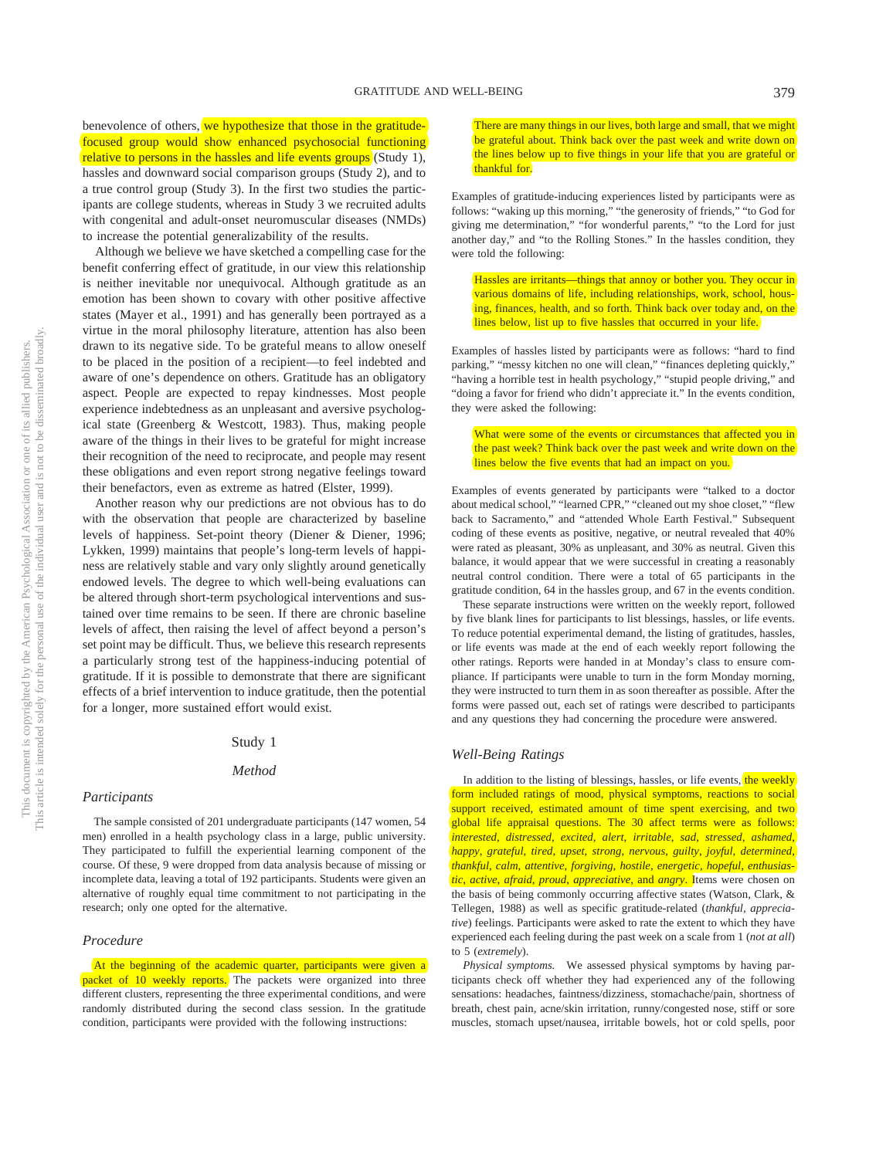benevolence of others, we hypothesize that those in the gratitudefocused group would show enhanced psychosocial functioning relative to persons in the hassles and life events groups (Study 1). hassles and downward social comparison groups (Study 2), and to a true control group (Study 3). In the first two studies the participants are college students, whereas in Study 3 we recruited adults with congenital and adult-onset neuromuscular diseases (NMDs) to increase the potential generalizability of the results.

Although we believe we have sketched a compelling case for the benefit conferring effect of gratitude, in our view this relationship is neither inevitable nor unequivocal. Although gratitude as an emotion has been shown to covary with other positive affective states (Mayer et al., 1991) and has generally been portrayed as a virtue in the moral philosophy literature, attention has also been drawn to its negative side. To be grateful means to allow oneself to be placed in the position of a recipient—to feel indebted and aware of one's dependence on others. Gratitude has an obligatory aspect. People are expected to repay kindnesses. Most people experience indebtedness as an unpleasant and aversive psychological state (Greenberg & Westcott, 1983). Thus, making people aware of the things in their lives to be grateful for might increase their recognition of the need to reciprocate, and people may resent these obligations and even report strong negative feelings toward their benefactors, even as extreme as hatred (Elster, 1999).

Another reason why our predictions are not obvious has to do with the observation that people are characterized by baseline levels of happiness. Set-point theory (Diener & Diener, 1996; Lykken, 1999) maintains that people's long-term levels of happiness are relatively stable and vary only slightly around genetically endowed levels. The degree to which well-being evaluations can be altered through short-term psychological interventions and sustained over time remains to be seen. If there are chronic baseline levels of affect, then raising the level of affect beyond a person's set point may be difficult. Thus, we believe this research represents a particularly strong test of the happiness-inducing potential of gratitude. If it is possible to demonstrate that there are significant effects of a brief intervention to induce gratitude, then the potential for a longer, more sustained effort would exist.

## Study 1

## *Method*

## *Participants*

The sample consisted of 201 undergraduate participants (147 women, 54 men) enrolled in a health psychology class in a large, public university. They participated to fulfill the experiential learning component of the course. Of these, 9 were dropped from data analysis because of missing or incomplete data, leaving a total of 192 participants. Students were given an alternative of roughly equal time commitment to not participating in the research; only one opted for the alternative.

## *Procedure*

At the beginning of the academic quarter, participants were given a packet of 10 weekly reports. The packets were organized into three different clusters, representing the three experimental conditions, and were randomly distributed during the second class session. In the gratitude condition, participants were provided with the following instructions:

There are many things in our lives, both large and small, that we might be grateful about. Think back over the past week and write down on the lines below up to five things in your life that you are grateful or thankful for.

Examples of gratitude-inducing experiences listed by participants were as follows: "waking up this morning," "the generosity of friends," "to God for giving me determination," "for wonderful parents," "to the Lord for just another day," and "to the Rolling Stones." In the hassles condition, they were told the following:

Hassles are irritants—things that annoy or bother you. They occur in various domains of life, including relationships, work, school, housing, finances, health, and so forth. Think back over today and, on the lines below, list up to five hassles that occurred in your life.

Examples of hassles listed by participants were as follows: "hard to find parking," "messy kitchen no one will clean," "finances depleting quickly," "having a horrible test in health psychology," "stupid people driving," and "doing a favor for friend who didn't appreciate it." In the events condition, they were asked the following:

What were some of the events or circumstances that affected you in the past week? Think back over the past week and write down on the lines below the five events that had an impact on you.

Examples of events generated by participants were "talked to a doctor about medical school," "learned CPR," "cleaned out my shoe closet," "flew back to Sacramento," and "attended Whole Earth Festival." Subsequent coding of these events as positive, negative, or neutral revealed that 40% were rated as pleasant, 30% as unpleasant, and 30% as neutral. Given this balance, it would appear that we were successful in creating a reasonably neutral control condition. There were a total of 65 participants in the gratitude condition, 64 in the hassles group, and 67 in the events condition.

These separate instructions were written on the weekly report, followed by five blank lines for participants to list blessings, hassles, or life events. To reduce potential experimental demand, the listing of gratitudes, hassles, or life events was made at the end of each weekly report following the other ratings. Reports were handed in at Monday's class to ensure compliance. If participants were unable to turn in the form Monday morning, they were instructed to turn them in as soon thereafter as possible. After the forms were passed out, each set of ratings were described to participants and any questions they had concerning the procedure were answered.

#### *Well-Being Ratings*

In addition to the listing of blessings, hassles, or life events, the weekly form included ratings of mood, physical symptoms, reactions to social support received, estimated amount of time spent exercising, and two global life appraisal questions. The 30 affect terms were as follows: *interested*, *distressed*, *excited*, *alert*, *irritable*, *sad*, *stressed*, *ashamed*, *happy*, *grateful*, *tired*, *upset*, *strong*, *nervous*, *guilty*, *joyful*, *determined*, *thankful*, *calm*, *attentive*, *forgiving*, *hostile*, *energetic*, *hopeful*, *enthusiastic*, *active*, *afraid*, *proud*, *appreciative*, and *angry*. Items were chosen on the basis of being commonly occurring affective states (Watson, Clark, & Tellegen, 1988) as well as specific gratitude-related (*thankful*, *appreciative*) feelings. Participants were asked to rate the extent to which they have experienced each feeling during the past week on a scale from 1 (*not at all*) to 5 (*extremely*).

*Physical symptoms.* We assessed physical symptoms by having participants check off whether they had experienced any of the following sensations: headaches, faintness/dizziness, stomachache/pain, shortness of breath, chest pain, acne/skin irritation, runny/congested nose, stiff or sore muscles, stomach upset/nausea, irritable bowels, hot or cold spells, poor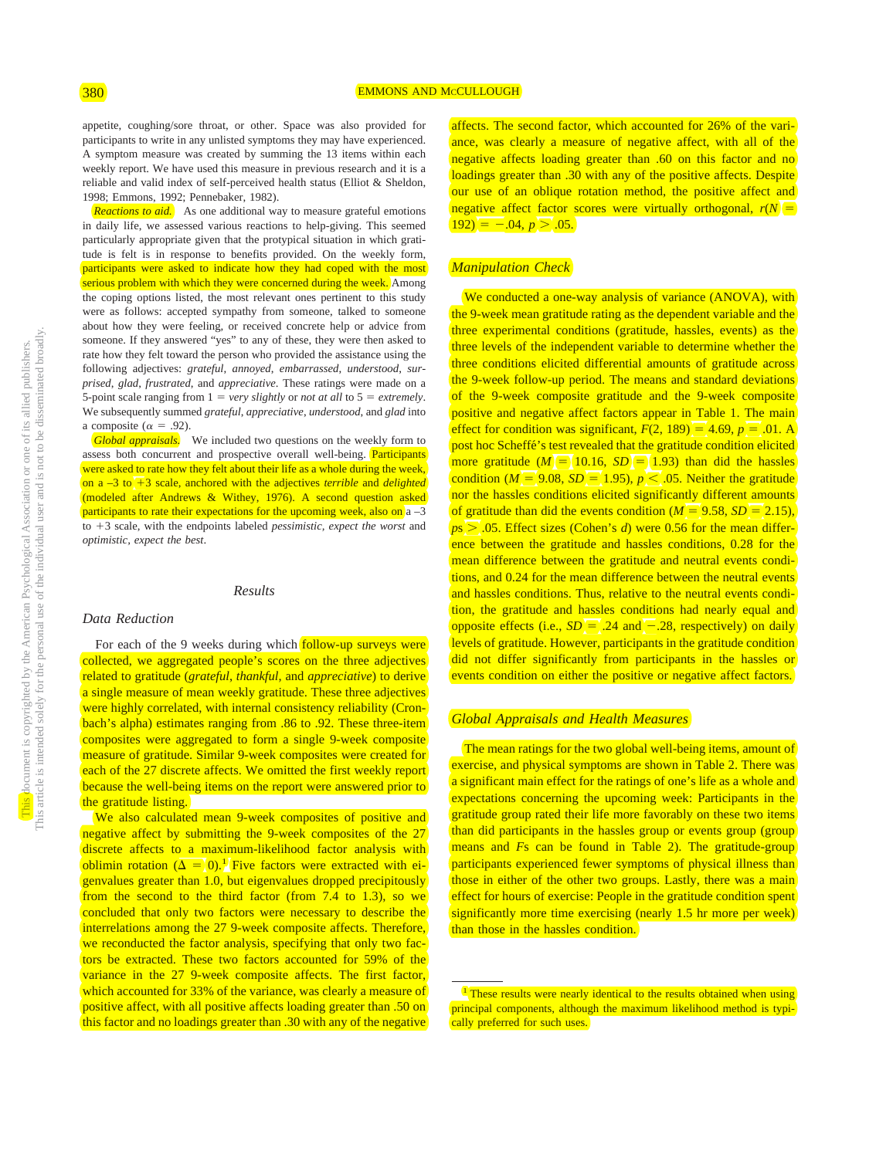appetite, coughing/sore throat, or other. Space was also provided for participants to write in any unlisted symptoms they may have experienced. A symptom measure was created by summing the 13 items within each weekly report. We have used this measure in previous research and it is a reliable and valid index of self-perceived health status (Elliot & Sheldon, 1998; Emmons, 1992; Pennebaker, 1982).

*Reactions to aid.* As one additional way to measure grateful emotions in daily life, we assessed various reactions to help-giving. This seemed particularly appropriate given that the protypical situation in which gratitude is felt is in response to benefits provided. On the weekly form, participants were asked to indicate how they had coped with the most serious problem with which they were concerned during the week. Among the coping options listed, the most relevant ones pertinent to this study were as follows: accepted sympathy from someone, talked to someone about how they were feeling, or received concrete help or advice from someone. If they answered "yes" to any of these, they were then asked to rate how they felt toward the person who provided the assistance using the following adjectives: *grateful*, *annoyed*, *embarrassed*, *understood*, *surprised*, *glad*, *frustrated*, and *appreciative*. These ratings were made on a 5-point scale ranging from  $1 = very$  *slightly* or *not at all* to  $5 =$  *extremely*. We subsequently summed *grateful*, *appreciative*, *understood*, and *glad* into a composite ( $\alpha = .92$ ).

*Global appraisals.* We included two questions on the weekly form to assess both concurrent and prospective overall well-being. Participants were asked to rate how they felt about their life as a whole during the week, on a -3 to +3 scale, anchored with the adjectives *terrible* and *delighted* (modeled after Andrews & Withey, 1976). A second question asked participants to rate their expectations for the upcoming week, also on  $a - 3$ to +3 scale, with the endpoints labeled *pessimistic*, expect the worst and *optimistic, expect the best*.

#### *Results*

## *Data Reduction*

For each of the 9 weeks during which **follow-up surveys were** collected, we aggregated people's scores on the three adjectives related to gratitude (*grateful*, *thankful*, and *appreciative*) to derive a single measure of mean weekly gratitude. These three adjectives were highly correlated, with internal consistency reliability (Cronbach's alpha) estimates ranging from .86 to .92. These three-item composites were aggregated to form a single 9-week composite measure of gratitude. Similar 9-week composites were created for each of the 27 discrete affects. We omitted the first weekly report because the well-being items on the report were answered prior to the gratitude listing.

We also calculated mean 9-week composites of positive and negative affect by submitting the 9-week composites of the 27 discrete affects to a maximum-likelihood factor analysis with oblimin rotation  $(\Delta = 0)^{1}$  Five factors were extracted with eigenvalues greater than 1.0, but eigenvalues dropped precipitously from the second to the third factor (from 7.4 to 1.3), so we concluded that only two factors were necessary to describe the interrelations among the 27 9-week composite affects. Therefore, we reconducted the factor analysis, specifying that only two factors be extracted. These two factors accounted for 59% of the variance in the 27 9-week composite affects. The first factor, which accounted for 33% of the variance, was clearly a measure of positive affect, with all positive affects loading greater than .50 on this factor and no loadings greater than .30 with any of the negative affects. The second factor, which accounted for 26% of the variance, was clearly a measure of negative affect, with all of the negative affects loading greater than .60 on this factor and no loadings greater than .30 with any of the positive affects. Despite our use of an oblique rotation method, the positive affect and negative affect factor scores were virtually orthogonal,  $r(N)$  =  $\boxed{192} = -.04, p > .05.$ 

## *Manipulation Check*

We conducted a one-way analysis of variance (ANOVA), with the 9-week mean gratitude rating as the dependent variable and the three experimental conditions (gratitude, hassles, events) as the three levels of the independent variable to determine whether the three conditions elicited differential amounts of gratitude across the 9-week follow-up period. The means and standard deviations of the 9-week composite gratitude and the 9-week composite positive and negative affect factors appear in Table 1. The main effect for condition was significant,  $F(2, 189) = 4.69$ ,  $p = .01$ . A post hoc Scheffé's test revealed that the gratitude condition elicited more gratitude  $(M = 10.16, SD = 1.93)$  than did the hassles condition ( $M = 9.08$ ,  $SD = 1.95$ ),  $p < 0.05$ . Neither the gratitude nor the hassles conditions elicited significantly different amounts of gratitude than did the events condition  $(M = 9.58, SD = 2.15)$ .  $p_s$   $>$  0.05. Effect sizes (Cohen's *d*) were 0.56 for the mean difference between the gratitude and hassles conditions, 0.28 for the mean difference between the gratitude and neutral events conditions, and 0.24 for the mean difference between the neutral events and hassles conditions. Thus, relative to the neutral events condition, the gratitude and hassles conditions had nearly equal and opposite effects (i.e.,  $SD = .24$  and  $-.28$ , respectively) on daily levels of gratitude. However, participants in the gratitude condition did not differ significantly from participants in the hassles or events condition on either the positive or negative affect factors.

# *Global Appraisals and Health Measures*

The mean ratings for the two global well-being items, amount of exercise, and physical symptoms are shown in Table 2. There was a significant main effect for the ratings of one's life as a whole and expectations concerning the upcoming week: Participants in the gratitude group rated their life more favorably on these two items than did participants in the hassles group or events group (group means and *F*s can be found in Table 2). The gratitude-group participants experienced fewer symptoms of physical illness than those in either of the other two groups. Lastly, there was a main effect for hours of exercise: People in the gratitude condition spent significantly more time exercising (nearly 1.5 hr more per week) than those in the hassles condition.

<sup>&</sup>lt;sup>1</sup> These results were nearly identical to the results obtained when using principal components, although the maximum likelihood method is typically preferred for such uses.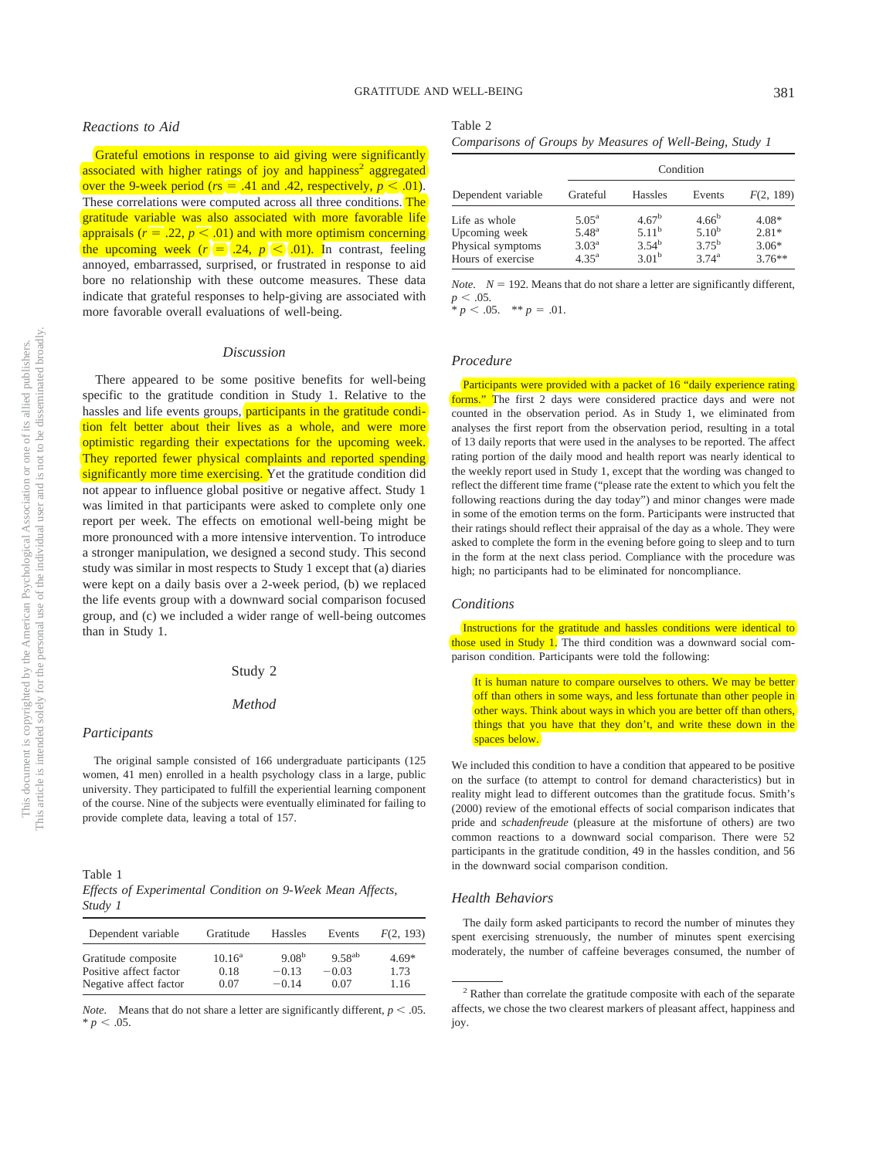## *Reactions to Aid*

Grateful emotions in response to aid giving were significantly associated with higher ratings of joy and happiness<sup>2</sup> aggregated over the 9-week period ( $rs = .41$  and .42, respectively,  $p < .01$ ). These correlations were computed across all three conditions. The gratitude variable was also associated with more favorable life appraisals ( $r = .22$ ,  $p < .01$ ) and with more optimism concerning the upcoming week  $(r = 0.24, p \le 0.01)$ . In contrast, feeling annoyed, embarrassed, surprised, or frustrated in response to aid bore no relationship with these outcome measures. These data indicate that grateful responses to help-giving are associated with more favorable overall evaluations of well-being.

#### *Discussion*

There appeared to be some positive benefits for well-being specific to the gratitude condition in Study 1. Relative to the hassles and life events groups, participants in the gratitude condition felt better about their lives as a whole, and were more optimistic regarding their expectations for the upcoming week. They reported fewer physical complaints and reported spending significantly more time exercising. Yet the gratitude condition did not appear to influence global positive or negative affect. Study 1 was limited in that participants were asked to complete only one report per week. The effects on emotional well-being might be more pronounced with a more intensive intervention. To introduce a stronger manipulation, we designed a second study. This second study was similar in most respects to Study 1 except that (a) diaries were kept on a daily basis over a 2-week period, (b) we replaced the life events group with a downward social comparison focused group, and (c) we included a wider range of well-being outcomes than in Study 1.

#### Study 2

#### *Method*

#### *Participants*

The original sample consisted of 166 undergraduate participants (125 women, 41 men) enrolled in a health psychology class in a large, public university. They participated to fulfill the experiential learning component of the course. Nine of the subjects were eventually eliminated for failing to provide complete data, leaving a total of 157.

Table 1 *Effects of Experimental Condition on 9-Week Mean Affects, Study 1*

| Dependent variable     | Gratitude       | Hassles           | Events      | F(2, 193) |
|------------------------|-----------------|-------------------|-------------|-----------|
| Gratitude composite    | $10.16^{\rm a}$ | 9.08 <sup>b</sup> | $9.58^{ab}$ | $4.69*$   |
| Positive affect factor | 0.18            | $-0.13$           | $-0.03$     | 1.73      |
| Negative affect factor | 0.07            | $-0.14$           | 0.07        | 1.16      |

*Note.* Means that do not share a letter are significantly different,  $p < .05$ .  $* p < .05.$ 

|--|--|

|                                                                          | Condition                                                        |                                                                        |                                                                  |                                            |
|--------------------------------------------------------------------------|------------------------------------------------------------------|------------------------------------------------------------------------|------------------------------------------------------------------|--------------------------------------------|
| Dependent variable                                                       | Grateful                                                         | <b>Hassles</b>                                                         | Events                                                           | F(2, 189)                                  |
| Life as whole<br>Upcoming week<br>Physical symptoms<br>Hours of exercise | $5.05^{\rm a}$<br>$5.48^{a}$<br>$3.03^{\rm a}$<br>$4.35^{\rm a}$ | 4.67 <sup>b</sup><br>$5.11^{\rm b}$<br>$3.54^{b}$<br>3.01 <sup>b</sup> | $4.66^{\rm b}$<br>$5.10^{b}$<br>$3.75^{\rm b}$<br>$3.74^{\rm a}$ | $4.08*$<br>$2.81*$<br>$3.06*$<br>$3.76***$ |

*Note.*  $N = 192$ . Means that do not share a letter are significantly different,  $p < .05$ .

 $p < .05.$  \*\*  $p = .01.$ 

# *Procedure*

Participants were provided with a packet of 16 "daily experience rating forms." The first 2 days were considered practice days and were not counted in the observation period. As in Study 1, we eliminated from analyses the first report from the observation period, resulting in a total of 13 daily reports that were used in the analyses to be reported. The affect rating portion of the daily mood and health report was nearly identical to the weekly report used in Study 1, except that the wording was changed to reflect the different time frame ("please rate the extent to which you felt the following reactions during the day today") and minor changes were made in some of the emotion terms on the form. Participants were instructed that their ratings should reflect their appraisal of the day as a whole. They were asked to complete the form in the evening before going to sleep and to turn in the form at the next class period. Compliance with the procedure was high; no participants had to be eliminated for noncompliance.

## *Conditions*

Instructions for the gratitude and hassles conditions were identical to those used in Study 1. The third condition was a downward social comparison condition. Participants were told the following:

It is human nature to compare ourselves to others. We may be better off than others in some ways, and less fortunate than other people in other ways. Think about ways in which you are better off than others, things that you have that they don't, and write these down in the spaces below.

We included this condition to have a condition that appeared to be positive on the surface (to attempt to control for demand characteristics) but in reality might lead to different outcomes than the gratitude focus. Smith's (2000) review of the emotional effects of social comparison indicates that pride and *schadenfreude* (pleasure at the misfortune of others) are two common reactions to a downward social comparison. There were 52 participants in the gratitude condition, 49 in the hassles condition, and 56 in the downward social comparison condition.

#### *Health Behaviors*

The daily form asked participants to record the number of minutes they spent exercising strenuously, the number of minutes spent exercising moderately, the number of caffeine beverages consumed, the number of

<sup>2</sup> Rather than correlate the gratitude composite with each of the separate affects, we chose the two clearest markers of pleasant affect, happiness and joy.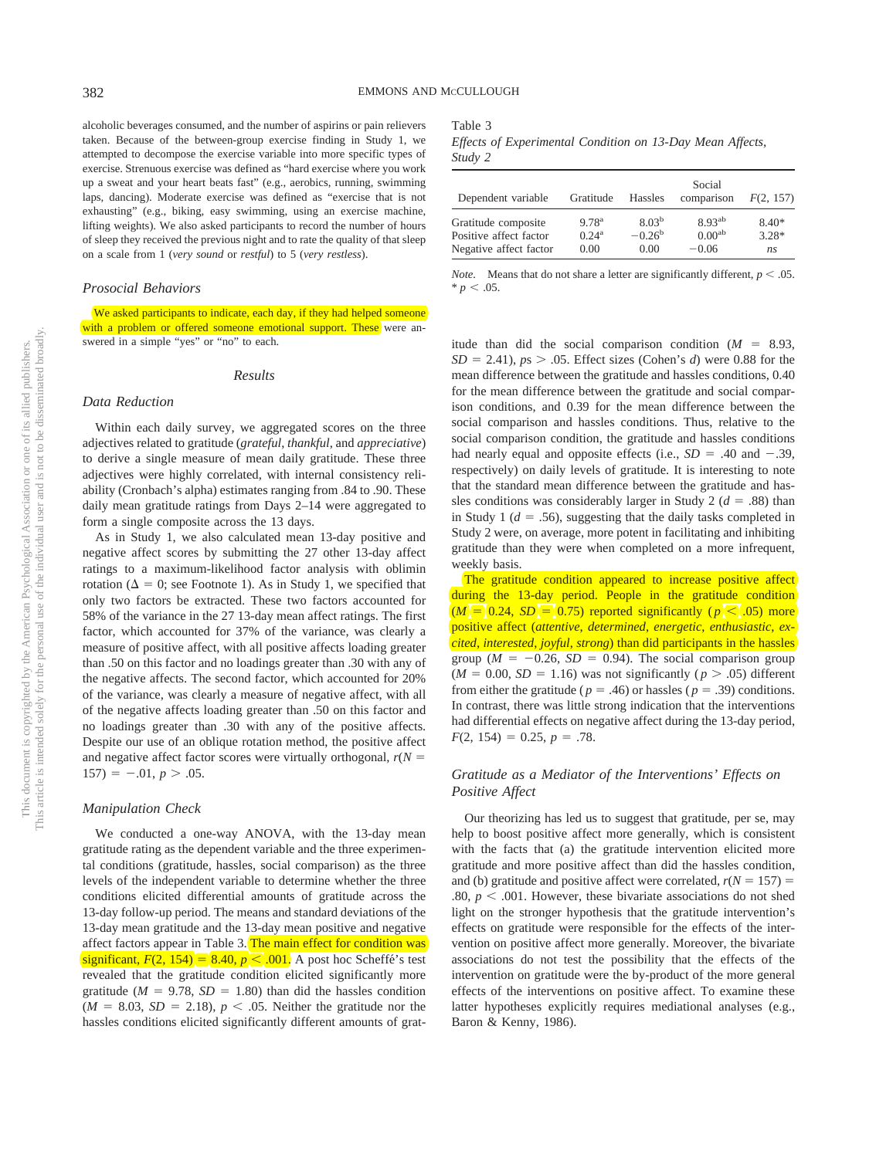alcoholic beverages consumed, and the number of aspirins or pain relievers taken. Because of the between-group exercise finding in Study 1, we attempted to decompose the exercise variable into more specific types of exercise. Strenuous exercise was defined as "hard exercise where you work up a sweat and your heart beats fast" (e.g., aerobics, running, swimming laps, dancing). Moderate exercise was defined as "exercise that is not exhausting" (e.g., biking, easy swimming, using an exercise machine, lifting weights). We also asked participants to record the number of hours of sleep they received the previous night and to rate the quality of that sleep on a scale from 1 (*very sound* or *restful*) to 5 (*very restless*).

## *Prosocial Behaviors*

We asked participants to indicate, each day, if they had helped someone with a problem or offered someone emotional support. These were answered in a simple "yes" or "no" to each.

#### *Results*

#### *Data Reduction*

Within each daily survey, we aggregated scores on the three adjectives related to gratitude (*grateful*, *thankful*, and *appreciative*) to derive a single measure of mean daily gratitude. These three adjectives were highly correlated, with internal consistency reliability (Cronbach's alpha) estimates ranging from .84 to .90. These daily mean gratitude ratings from Days 2–14 were aggregated to form a single composite across the 13 days.

As in Study 1, we also calculated mean 13-day positive and negative affect scores by submitting the 27 other 13-day affect ratings to a maximum-likelihood factor analysis with oblimin rotation ( $\Delta = 0$ ; see Footnote 1). As in Study 1, we specified that only two factors be extracted. These two factors accounted for 58% of the variance in the 27 13-day mean affect ratings. The first factor, which accounted for 37% of the variance, was clearly a measure of positive affect, with all positive affects loading greater than .50 on this factor and no loadings greater than .30 with any of the negative affects. The second factor, which accounted for 20% of the variance, was clearly a measure of negative affect, with all of the negative affects loading greater than .50 on this factor and no loadings greater than .30 with any of the positive affects. Despite our use of an oblique rotation method, the positive affect and negative affect factor scores were virtually orthogonal,  $r(N =$  $157$ ) = -.01, *p* > .05.

#### *Manipulation Check*

We conducted a one-way ANOVA, with the 13-day mean gratitude rating as the dependent variable and the three experimental conditions (gratitude, hassles, social comparison) as the three levels of the independent variable to determine whether the three conditions elicited differential amounts of gratitude across the 13-day follow-up period. The means and standard deviations of the 13-day mean gratitude and the 13-day mean positive and negative affect factors appear in Table 3. The main effect for condition was significant,  $F(2, 154) = 8.40$ ,  $p < .001$ . A post hoc Scheffe's test revealed that the gratitude condition elicited significantly more gratitude ( $M = 9.78$ ,  $SD = 1.80$ ) than did the hassles condition  $(M = 8.03, SD = 2.18), p < .05$ . Neither the gratitude nor the hassles conditions elicited significantly different amounts of gratTable 3

*Effects of Experimental Condition on 13-Day Mean Affects, Study 2*

| Dependent variable     | Gratitude         | <b>Hassles</b>    | Social<br>comparison | F(2, 157) |
|------------------------|-------------------|-------------------|----------------------|-----------|
| Gratitude composite    | 9.78 <sup>a</sup> | 8.03 <sup>b</sup> | 8.93 <sup>ab</sup>   | $8.40*$   |
| Positive affect factor | $0.24^{\rm a}$    | $-0.26^{\rm b}$   | 0.00 <sup>ab</sup>   | $3.28*$   |
| Negative affect factor | 0.00              | 0.00              | $-0.06$              | ns        |

*Note.* Means that do not share a letter are significantly different,  $p < .05$ .  $* p < .05$ .

itude than did the social comparison condition  $(M = 8.93,$  $SD = 2.41$ ,  $ps > .05$ . Effect sizes (Cohen's *d*) were 0.88 for the mean difference between the gratitude and hassles conditions, 0.40 for the mean difference between the gratitude and social comparison conditions, and 0.39 for the mean difference between the social comparison and hassles conditions. Thus, relative to the social comparison condition, the gratitude and hassles conditions had nearly equal and opposite effects (i.e.,  $SD = .40$  and  $-.39$ , respectively) on daily levels of gratitude. It is interesting to note that the standard mean difference between the gratitude and hassles conditions was considerably larger in Study 2 ( $d = .88$ ) than in Study 1 ( $d = .56$ ), suggesting that the daily tasks completed in Study 2 were, on average, more potent in facilitating and inhibiting gratitude than they were when completed on a more infrequent, weekly basis.

The gratitude condition appeared to increase positive affect during the 13-day period. People in the gratitude condition  $(M = 0.24, SD = 0.75)$  reported significantly ( $p < 0.05$ ) more positive affect (*attentive*, *determined*, *energetic*, *enthusiastic*, *excited*, *interested*, *joyful*, *strong*) than did participants in the hassles group ( $M = -0.26$ ,  $SD = 0.94$ ). The social comparison group  $(M = 0.00, SD = 1.16)$  was not significantly ( $p > .05$ ) different from either the gratitude ( $p = .46$ ) or hassles ( $p = .39$ ) conditions. In contrast, there was little strong indication that the interventions had differential effects on negative affect during the 13-day period,  $F(2, 154) = 0.25, p = .78.$ 

# *Gratitude as a Mediator of the Interventions' Effects on Positive Affect*

Our theorizing has led us to suggest that gratitude, per se, may help to boost positive affect more generally, which is consistent with the facts that (a) the gratitude intervention elicited more gratitude and more positive affect than did the hassles condition, and (b) gratitude and positive affect were correlated,  $r(N = 157)$ .80,  $p < .001$ . However, these bivariate associations do not shed light on the stronger hypothesis that the gratitude intervention's effects on gratitude were responsible for the effects of the intervention on positive affect more generally. Moreover, the bivariate associations do not test the possibility that the effects of the intervention on gratitude were the by-product of the more general effects of the interventions on positive affect. To examine these latter hypotheses explicitly requires mediational analyses (e.g., Baron & Kenny, 1986).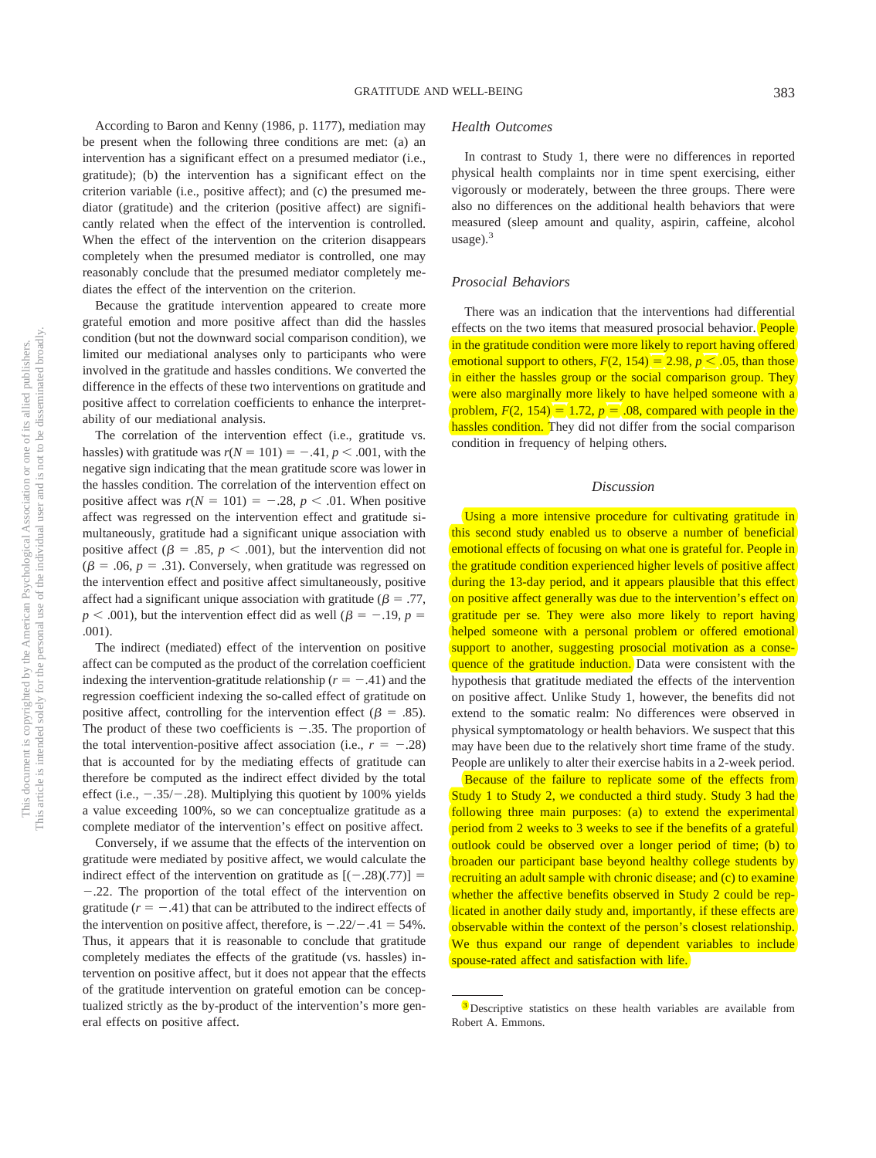According to Baron and Kenny (1986, p. 1177), mediation may be present when the following three conditions are met: (a) an intervention has a significant effect on a presumed mediator (i.e., gratitude); (b) the intervention has a significant effect on the criterion variable (i.e., positive affect); and (c) the presumed mediator (gratitude) and the criterion (positive affect) are significantly related when the effect of the intervention is controlled. When the effect of the intervention on the criterion disappears completely when the presumed mediator is controlled, one may reasonably conclude that the presumed mediator completely mediates the effect of the intervention on the criterion.

Because the gratitude intervention appeared to create more grateful emotion and more positive affect than did the hassles condition (but not the downward social comparison condition), we limited our mediational analyses only to participants who were involved in the gratitude and hassles conditions. We converted the difference in the effects of these two interventions on gratitude and positive affect to correlation coefficients to enhance the interpretability of our mediational analysis.

The correlation of the intervention effect (i.e., gratitude vs. hassles) with gratitude was  $r(N = 101) = -.41$ ,  $p < .001$ , with the negative sign indicating that the mean gratitude score was lower in the hassles condition. The correlation of the intervention effect on positive affect was  $r(N = 101) = -.28$ ,  $p < .01$ . When positive affect was regressed on the intervention effect and gratitude simultaneously, gratitude had a significant unique association with positive affect ( $\beta = .85$ ,  $p < .001$ ), but the intervention did not  $(\beta = .06, p = .31)$ . Conversely, when gratitude was regressed on the intervention effect and positive affect simultaneously, positive affect had a significant unique association with gratitude ( $\beta = .77$ ,  $p < .001$ ), but the intervention effect did as well ( $\beta = -.19$ ,  $p =$ .001).

The indirect (mediated) effect of the intervention on positive affect can be computed as the product of the correlation coefficient indexing the intervention-gratitude relationship  $(r = -.41)$  and the regression coefficient indexing the so-called effect of gratitude on positive affect, controlling for the intervention effect ( $\beta = .85$ ). The product of these two coefficients is  $-.35$ . The proportion of the total intervention-positive affect association (i.e.,  $r = -.28$ ) that is accounted for by the mediating effects of gratitude can therefore be computed as the indirect effect divided by the total effect (i.e.,  $-.35/-.28$ ). Multiplying this quotient by 100% yields a value exceeding 100%, so we can conceptualize gratitude as a complete mediator of the intervention's effect on positive affect.

Conversely, if we assume that the effects of the intervention on gratitude were mediated by positive affect, we would calculate the indirect effect of the intervention on gratitude as  $[(-.28)(.77)] =$ .22. The proportion of the total effect of the intervention on gratitude  $(r = -.41)$  that can be attributed to the indirect effects of the intervention on positive affect, therefore, is  $-.22/-.41 = 54\%$ . Thus, it appears that it is reasonable to conclude that gratitude completely mediates the effects of the gratitude (vs. hassles) intervention on positive affect, but it does not appear that the effects of the gratitude intervention on grateful emotion can be conceptualized strictly as the by-product of the intervention's more general effects on positive affect.

# *Health Outcomes*

In contrast to Study 1, there were no differences in reported physical health complaints nor in time spent exercising, either vigorously or moderately, between the three groups. There were also no differences on the additional health behaviors that were measured (sleep amount and quality, aspirin, caffeine, alcohol  $usage).$ <sup>3</sup>

## *Prosocial Behaviors*

There was an indication that the interventions had differential effects on the two items that measured prosocial behavior. People in the gratitude condition were more likely to report having offered emotional support to others,  $F(2, 154) = 2.98$ ,  $p < .05$ , than those in either the hassles group or the social comparison group. They were also marginally more likely to have helped someone with a problem,  $F(2, 154) = 1.72$ ,  $p = 0.08$ , compared with people in the hassles condition. They did not differ from the social comparison condition in frequency of helping others.

## *Discussion*

Using a more intensive procedure for cultivating gratitude in this second study enabled us to observe a number of beneficial emotional effects of focusing on what one is grateful for. People in the gratitude condition experienced higher levels of positive affect during the 13-day period, and it appears plausible that this effect on positive affect generally was due to the intervention's effect on gratitude per se. They were also more likely to report having helped someone with a personal problem or offered emotional support to another, suggesting prosocial motivation as a consequence of the gratitude induction. Data were consistent with the hypothesis that gratitude mediated the effects of the intervention on positive affect. Unlike Study 1, however, the benefits did not extend to the somatic realm: No differences were observed in physical symptomatology or health behaviors. We suspect that this may have been due to the relatively short time frame of the study. People are unlikely to alter their exercise habits in a 2-week period.

Because of the failure to replicate some of the effects from Study 1 to Study 2, we conducted a third study. Study 3 had the following three main purposes: (a) to extend the experimental period from 2 weeks to 3 weeks to see if the benefits of a grateful outlook could be observed over a longer period of time; (b) to broaden our participant base beyond healthy college students by recruiting an adult sample with chronic disease; and (c) to examine whether the affective benefits observed in Study 2 could be replicated in another daily study and, importantly, if these effects are observable within the context of the person's closest relationship. We thus expand our range of dependent variables to include spouse-rated affect and satisfaction with life.

<sup>&</sup>lt;sup>3</sup> Descriptive statistics on these health variables are available from Robert A. Emmons.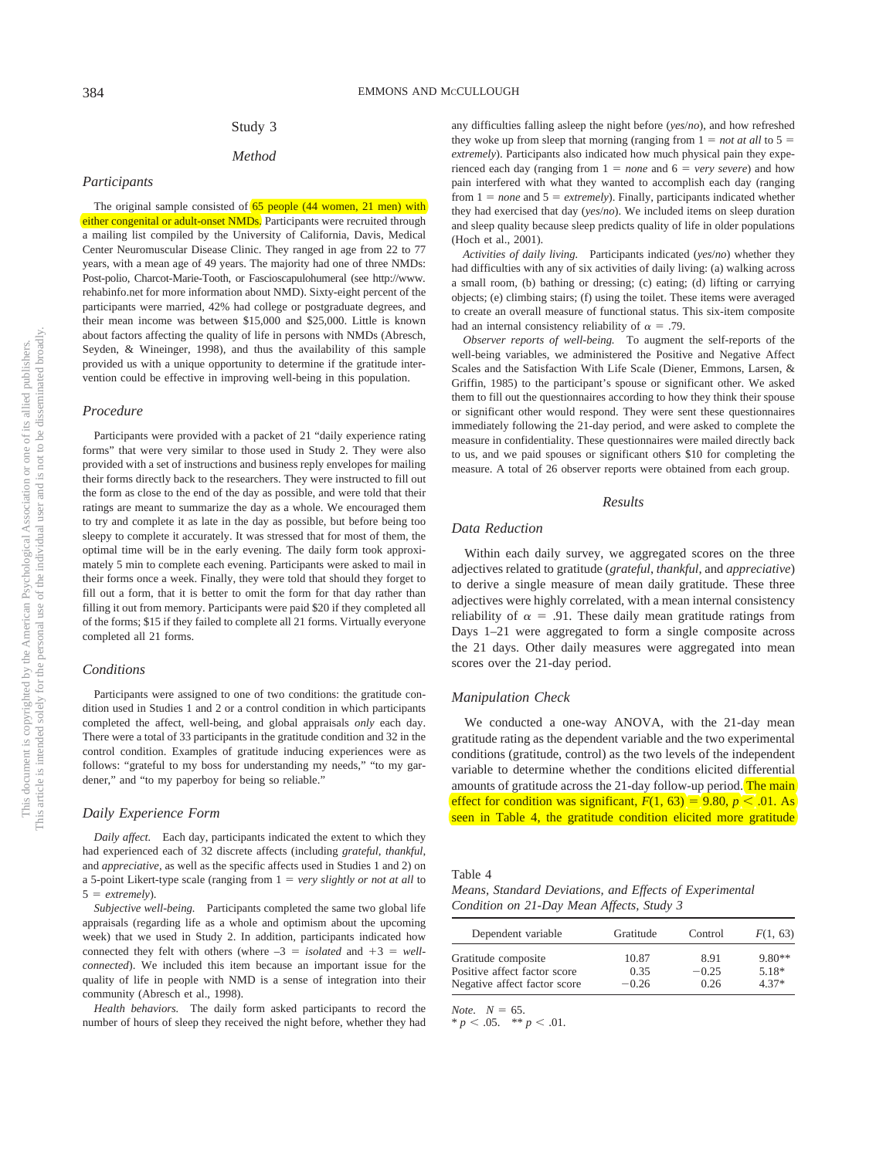# Study 3

# *Method*

#### *Participants*

The original sample consisted of  $65$  people (44 women, 21 men) with either congenital or adult-onset NMDs. Participants were recruited through a mailing list compiled by the University of California, Davis, Medical Center Neuromuscular Disease Clinic. They ranged in age from 22 to 77 years, with a mean age of 49 years. The majority had one of three NMDs: Post-polio, Charcot-Marie-Tooth, or Fascioscapulohumeral (see http://www. rehabinfo.net for more information about NMD). Sixty-eight percent of the participants were married, 42% had college or postgraduate degrees, and their mean income was between \$15,000 and \$25,000. Little is known about factors affecting the quality of life in persons with NMDs (Abresch, Seyden, & Wineinger, 1998), and thus the availability of this sample provided us with a unique opportunity to determine if the gratitude intervention could be effective in improving well-being in this population.

#### *Procedure*

Participants were provided with a packet of 21 "daily experience rating forms" that were very similar to those used in Study 2. They were also provided with a set of instructions and business reply envelopes for mailing their forms directly back to the researchers. They were instructed to fill out the form as close to the end of the day as possible, and were told that their ratings are meant to summarize the day as a whole. We encouraged them to try and complete it as late in the day as possible, but before being too sleepy to complete it accurately. It was stressed that for most of them, the optimal time will be in the early evening. The daily form took approximately 5 min to complete each evening. Participants were asked to mail in their forms once a week. Finally, they were told that should they forget to fill out a form, that it is better to omit the form for that day rather than filling it out from memory. Participants were paid \$20 if they completed all of the forms; \$15 if they failed to complete all 21 forms. Virtually everyone completed all 21 forms.

#### *Conditions*

Participants were assigned to one of two conditions: the gratitude condition used in Studies 1 and 2 or a control condition in which participants completed the affect, well-being, and global appraisals *only* each day. There were a total of 33 participants in the gratitude condition and 32 in the control condition. Examples of gratitude inducing experiences were as follows: "grateful to my boss for understanding my needs," "to my gardener," and "to my paperboy for being so reliable."

# *Daily Experience Form*

*Daily affect.* Each day, participants indicated the extent to which they had experienced each of 32 discrete affects (including *grateful*, *thankful*, and *appreciative*, as well as the specific affects used in Studies 1 and 2) on a 5-point Likert-type scale (ranging from  $1 = very$  slightly or not at all to 5 = extremely).

*Subjective well-being.* Participants completed the same two global life appraisals (regarding life as a whole and optimism about the upcoming week) that we used in Study 2. In addition, participants indicated how connected they felt with others (where  $-3 = isolated$  and  $+3 = well$ *connected*). We included this item because an important issue for the quality of life in people with NMD is a sense of integration into their community (Abresch et al., 1998).

*Health behaviors.* The daily form asked participants to record the number of hours of sleep they received the night before, whether they had any difficulties falling asleep the night before (*yes*/*no*), and how refreshed they woke up from sleep that morning (ranging from  $1 = not$  at all to  $5 =$ *extremely*). Participants also indicated how much physical pain they experienced each day (ranging from  $1 = none$  and  $6 = very$  *severe*) and how pain interfered with what they wanted to accomplish each day (ranging from  $1 = none$  and  $5 = extremely$ ). Finally, participants indicated whether they had exercised that day (*yes*/*no*). We included items on sleep duration and sleep quality because sleep predicts quality of life in older populations (Hoch et al., 2001).

*Activities of daily living.* Participants indicated (*yes*/*no*) whether they had difficulties with any of six activities of daily living: (a) walking across a small room, (b) bathing or dressing; (c) eating; (d) lifting or carrying objects; (e) climbing stairs; (f) using the toilet. These items were averaged to create an overall measure of functional status. This six-item composite had an internal consistency reliability of  $\alpha = .79$ .

*Observer reports of well-being.* To augment the self-reports of the well-being variables, we administered the Positive and Negative Affect Scales and the Satisfaction With Life Scale (Diener, Emmons, Larsen, & Griffin, 1985) to the participant's spouse or significant other. We asked them to fill out the questionnaires according to how they think their spouse or significant other would respond. They were sent these questionnaires immediately following the 21-day period, and were asked to complete the measure in confidentiality. These questionnaires were mailed directly back to us, and we paid spouses or significant others \$10 for completing the measure. A total of 26 observer reports were obtained from each group.

#### *Results*

#### *Data Reduction*

Within each daily survey, we aggregated scores on the three adjectives related to gratitude (*grateful*, *thankful*, and *appreciative*) to derive a single measure of mean daily gratitude. These three adjectives were highly correlated, with a mean internal consistency reliability of  $\alpha = .91$ . These daily mean gratitude ratings from Days 1–21 were aggregated to form a single composite across the 21 days. Other daily measures were aggregated into mean scores over the 21-day period.

#### *Manipulation Check*

We conducted a one-way ANOVA, with the 21-day mean gratitude rating as the dependent variable and the two experimental conditions (gratitude, control) as the two levels of the independent variable to determine whether the conditions elicited differential amounts of gratitude across the 21-day follow-up period. The main effect for condition was significant,  $F(1, 63) = 9.80$ ,  $p < 0.01$ . As seen in Table 4, the gratitude condition elicited more gratitude

Table 4

*Means, Standard Deviations, and Effects of Experimental Condition on 21-Day Mean Affects, Study 3*

| Dependent variable                                           | Gratitude       | Control         | F(1, 63)            |
|--------------------------------------------------------------|-----------------|-----------------|---------------------|
| Gratitude composite                                          | 10.87           | 8.91            | $9.80**$<br>$5.18*$ |
| Positive affect factor score<br>Negative affect factor score | 0.35<br>$-0.26$ | $-0.25$<br>0.26 | $4.37*$             |

*Note.*  $N = 65$ .

 $* p < .05.$  \*\*  $p < .01.$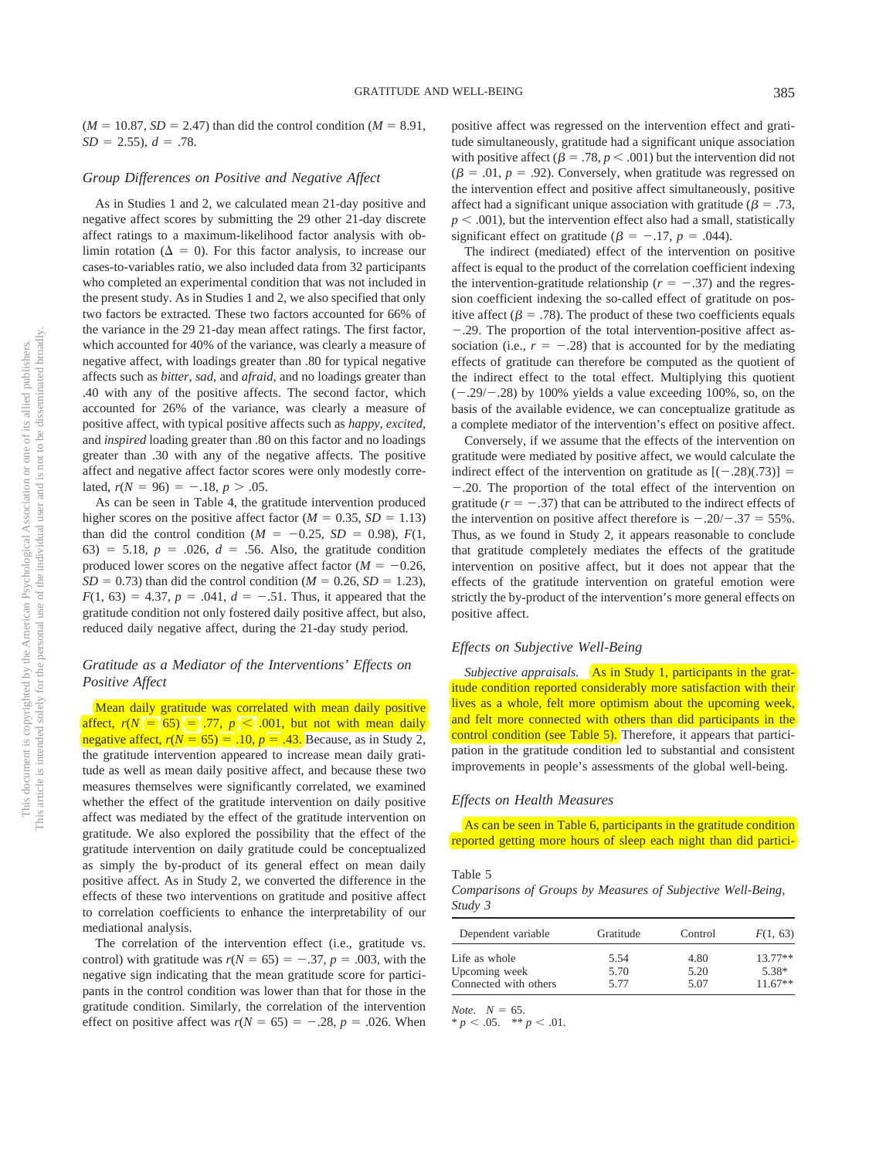$(M = 10.87, SD = 2.47)$  than did the control condition  $(M = 8.91,$  $SD = 2.55$ ,  $d = .78$ .

## *Group Differences on Positive and Negative Affect*

As in Studies 1 and 2, we calculated mean 21-day positive and negative affect scores by submitting the 29 other 21-day discrete affect ratings to a maximum-likelihood factor analysis with oblimin rotation ( $\Delta = 0$ ). For this factor analysis, to increase our cases-to-variables ratio, we also included data from 32 participants who completed an experimental condition that was not included in the present study. As in Studies 1 and 2, we also specified that only two factors be extracted. These two factors accounted for 66% of the variance in the 29 21-day mean affect ratings. The first factor, which accounted for 40% of the variance, was clearly a measure of negative affect, with loadings greater than .80 for typical negative affects such as *bitter*, *sad*, and *afraid*, and no loadings greater than .40 with any of the positive affects. The second factor, which accounted for 26% of the variance, was clearly a measure of positive affect, with typical positive affects such as *happy*, *excited*, and *inspired* loading greater than .80 on this factor and no loadings greater than .30 with any of the negative affects. The positive affect and negative affect factor scores were only modestly correlated,  $r(N = 96) = -.18$ ,  $p > .05$ .

As can be seen in Table 4, the gratitude intervention produced higher scores on the positive affect factor ( $M = 0.35$ ,  $SD = 1.13$ ) than did the control condition ( $M = -0.25$ ,  $SD = 0.98$ ),  $F(1,$ 63) = 5.18,  $p = .026$ ,  $d = .56$ . Also, the gratitude condition produced lower scores on the negative affect factor ( $M = -0.26$ ,  $SD = 0.73$  than did the control condition ( $M = 0.26$ ,  $SD = 1.23$ ),  $F(1, 63) = 4.37, p = .041, d = -.51$ . Thus, it appeared that the gratitude condition not only fostered daily positive affect, but also, reduced daily negative affect, during the 21-day study period.

# *Gratitude as a Mediator of the Interventions' Effects on Positive Affect*

Mean daily gratitude was correlated with mean daily positive affect,  $r(N = 65) = .77$ ,  $p < .001$ , but not with mean daily negative affect,  $r(N = 65) = .10$ ,  $p = .43$ . Because, as in Study 2, the gratitude intervention appeared to increase mean daily gratitude as well as mean daily positive affect, and because these two measures themselves were significantly correlated, we examined whether the effect of the gratitude intervention on daily positive affect was mediated by the effect of the gratitude intervention on gratitude. We also explored the possibility that the effect of the gratitude intervention on daily gratitude could be conceptualized as simply the by-product of its general effect on mean daily positive affect. As in Study 2, we converted the difference in the effects of these two interventions on gratitude and positive affect to correlation coefficients to enhance the interpretability of our mediational analysis.

The correlation of the intervention effect (i.e., gratitude vs. control) with gratitude was  $r(N = 65) = -.37$ ,  $p = .003$ , with the negative sign indicating that the mean gratitude score for participants in the control condition was lower than that for those in the gratitude condition. Similarly, the correlation of the intervention effect on positive affect was  $r(N = 65) = -.28$ ,  $p = .026$ . When positive affect was regressed on the intervention effect and gratitude simultaneously, gratitude had a significant unique association with positive affect ( $\beta = .78$ ,  $p < .001$ ) but the intervention did not  $(\beta = .01, p = .92)$ . Conversely, when gratitude was regressed on the intervention effect and positive affect simultaneously, positive affect had a significant unique association with gratitude ( $\beta = .73$ ,  $p < .001$ ), but the intervention effect also had a small, statistically significant effect on gratitude ( $\beta = -.17$ ,  $p = .044$ ).

The indirect (mediated) effect of the intervention on positive affect is equal to the product of the correlation coefficient indexing the intervention-gratitude relationship ( $r = -.37$ ) and the regression coefficient indexing the so-called effect of gratitude on positive affect ( $\beta = .78$ ). The product of these two coefficients equals .29. The proportion of the total intervention-positive affect association (i.e.,  $r = -.28$ ) that is accounted for by the mediating effects of gratitude can therefore be computed as the quotient of the indirect effect to the total effect. Multiplying this quotient  $(-.29/-.28)$  by 100% yields a value exceeding 100%, so, on the basis of the available evidence, we can conceptualize gratitude as a complete mediator of the intervention's effect on positive affect.

Conversely, if we assume that the effects of the intervention on gratitude were mediated by positive affect, we would calculate the indirect effect of the intervention on gratitude as  $[(-.28)(.73)] =$ .20. The proportion of the total effect of the intervention on gratitude  $(r = -.37)$  that can be attributed to the indirect effects of the intervention on positive affect therefore is  $-.20/-.37 = 55\%$ . Thus, as we found in Study 2, it appears reasonable to conclude that gratitude completely mediates the effects of the gratitude intervention on positive affect, but it does not appear that the effects of the gratitude intervention on grateful emotion were strictly the by-product of the intervention's more general effects on positive affect.

## *Effects on Subjective Well-Being*

*Subjective appraisals.* As in Study 1, participants in the gratitude condition reported considerably more satisfaction with their lives as a whole, felt more optimism about the upcoming week, and felt more connected with others than did participants in the control condition (see Table 5). Therefore, it appears that participation in the gratitude condition led to substantial and consistent improvements in people's assessments of the global well-being.

#### *Effects on Health Measures*

As can be seen in Table 6, participants in the gratitude condition reported getting more hours of sleep each night than did partici-

#### Table 5

*Comparisons of Groups by Measures of Subjective Well-Being, Study 3*

| Dependent variable    | Gratitude | Control | F(1, 63)  |
|-----------------------|-----------|---------|-----------|
| Life as whole         | 5.54      | 4.80    | $13.77**$ |
| Upcoming week         | 5.70      | 5.20    | 5.38*     |
| Connected with others | 5.77      | 5.07    | $11.67**$ |

*Note.*  $N = 65$ .

 $* p < .05.$  \*\*  $p < .01.$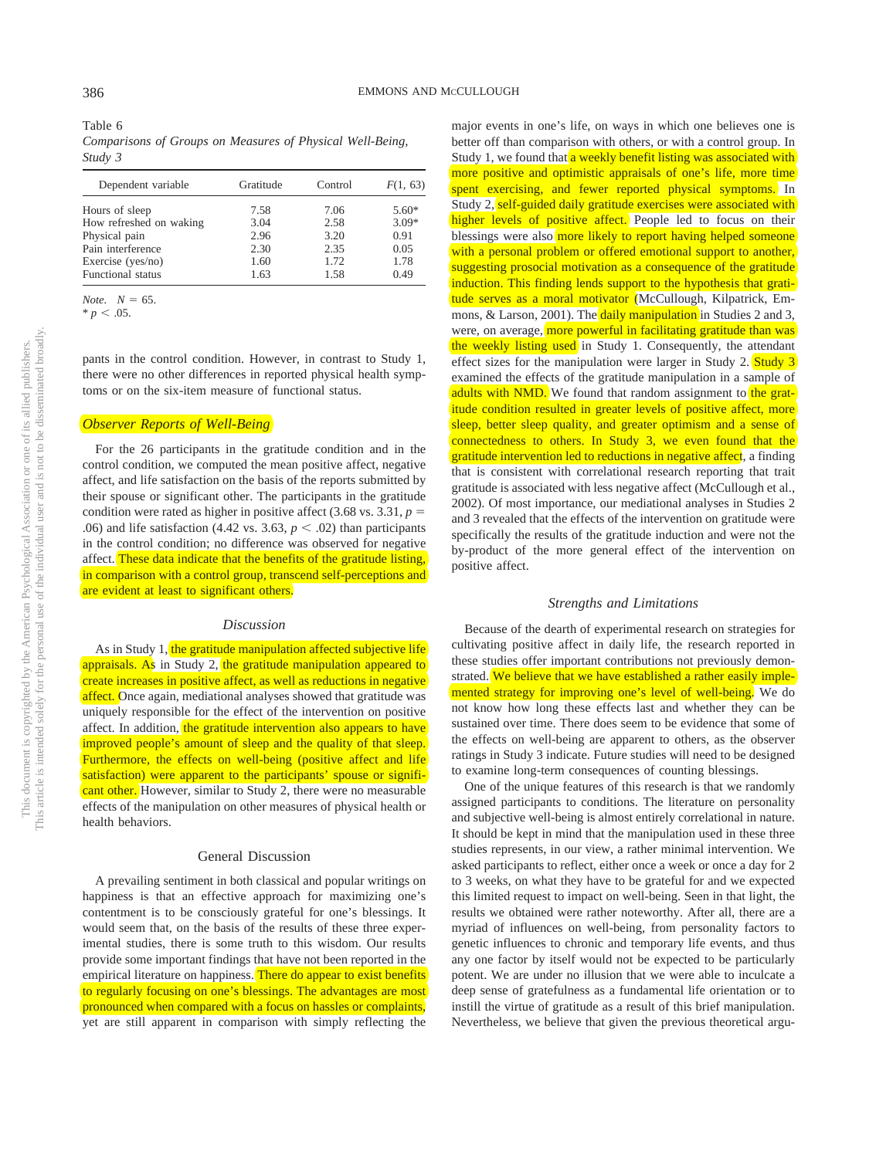| Table 6                                                   |  |
|-----------------------------------------------------------|--|
| Comparisons of Groups on Measures of Physical Well-Being, |  |
| Study 3                                                   |  |

| Dependent variable      | Gratitude | Control | F(1, 63) |
|-------------------------|-----------|---------|----------|
| Hours of sleep          | 7.58      | 7.06    | $5.60*$  |
| How refreshed on waking | 3.04      | 2.58    | $3.09*$  |
| Physical pain           | 2.96      | 3.20    | 0.91     |
| Pain interference       | 2.30      | 2.35    | 0.05     |
| Exercise (yes/no)       | 1.60      | 1.72    | 1.78     |
| Functional status       | 1.63      | 1.58    | 0.49     |

*Note.*  $N = 65$ .

 $* p < .05$ .

pants in the control condition. However, in contrast to Study 1, there were no other differences in reported physical health symptoms or on the six-item measure of functional status.

## *Observer Reports of Well-Being*

For the 26 participants in the gratitude condition and in the control condition, we computed the mean positive affect, negative affect, and life satisfaction on the basis of the reports submitted by their spouse or significant other. The participants in the gratitude condition were rated as higher in positive affect  $(3.68 \text{ vs. } 3.31, p =$ .06) and life satisfaction (4.42 vs. 3.63,  $p < .02$ ) than participants in the control condition; no difference was observed for negative affect. These data indicate that the benefits of the gratitude listing, in comparison with a control group, transcend self-perceptions and are evident at least to significant others.

# *Discussion*

As in Study 1, the gratitude manipulation affected subjective life appraisals. As in Study 2, the gratitude manipulation appeared to create increases in positive affect, as well as reductions in negative affect. Once again, mediational analyses showed that gratitude was uniquely responsible for the effect of the intervention on positive affect. In addition, the gratitude intervention also appears to have improved people's amount of sleep and the quality of that sleep. Furthermore, the effects on well-being (positive affect and life satisfaction) were apparent to the participants' spouse or significant other. However, similar to Study 2, there were no measurable effects of the manipulation on other measures of physical health or health behaviors.

#### General Discussion

A prevailing sentiment in both classical and popular writings on happiness is that an effective approach for maximizing one's contentment is to be consciously grateful for one's blessings. It would seem that, on the basis of the results of these three experimental studies, there is some truth to this wisdom. Our results provide some important findings that have not been reported in the empirical literature on happiness. There do appear to exist benefits to regularly focusing on one's blessings. The advantages are most pronounced when compared with a focus on hassles or complaints, yet are still apparent in comparison with simply reflecting the

major events in one's life, on ways in which one believes one is better off than comparison with others, or with a control group. In Study 1, we found that a weekly benefit listing was associated with more positive and optimistic appraisals of one's life, more time spent exercising, and fewer reported physical symptoms. In Study 2, self-guided daily gratitude exercises were associated with higher levels of positive affect. People led to focus on their blessings were also more likely to report having helped someone with a personal problem or offered emotional support to another, suggesting prosocial motivation as a consequence of the gratitude induction. This finding lends support to the hypothesis that gratitude serves as a moral motivator (McCullough, Kilpatrick, Emmons, & Larson, 2001). The daily manipulation in Studies 2 and 3, were, on average, more powerful in facilitating gratitude than was the weekly listing used in Study 1. Consequently, the attendant effect sizes for the manipulation were larger in Study 2. Study  $3$ examined the effects of the gratitude manipulation in a sample of adults with NMD. We found that random assignment to the gratitude condition resulted in greater levels of positive affect, more sleep, better sleep quality, and greater optimism and a sense of connectedness to others. In Study 3, we even found that the gratitude intervention led to reductions in negative affect, a finding that is consistent with correlational research reporting that trait gratitude is associated with less negative affect (McCullough et al., 2002). Of most importance, our mediational analyses in Studies 2 and 3 revealed that the effects of the intervention on gratitude were specifically the results of the gratitude induction and were not the by-product of the more general effect of the intervention on positive affect.

## *Strengths and Limitations*

Because of the dearth of experimental research on strategies for cultivating positive affect in daily life, the research reported in these studies offer important contributions not previously demonstrated. We believe that we have established a rather easily implemented strategy for improving one's level of well-being. We do not know how long these effects last and whether they can be sustained over time. There does seem to be evidence that some of the effects on well-being are apparent to others, as the observer ratings in Study 3 indicate. Future studies will need to be designed to examine long-term consequences of counting blessings.

One of the unique features of this research is that we randomly assigned participants to conditions. The literature on personality and subjective well-being is almost entirely correlational in nature. It should be kept in mind that the manipulation used in these three studies represents, in our view, a rather minimal intervention. We asked participants to reflect, either once a week or once a day for 2 to 3 weeks, on what they have to be grateful for and we expected this limited request to impact on well-being. Seen in that light, the results we obtained were rather noteworthy. After all, there are a myriad of influences on well-being, from personality factors to genetic influences to chronic and temporary life events, and thus any one factor by itself would not be expected to be particularly potent. We are under no illusion that we were able to inculcate a deep sense of gratefulness as a fundamental life orientation or to instill the virtue of gratitude as a result of this brief manipulation. Nevertheless, we believe that given the previous theoretical argu-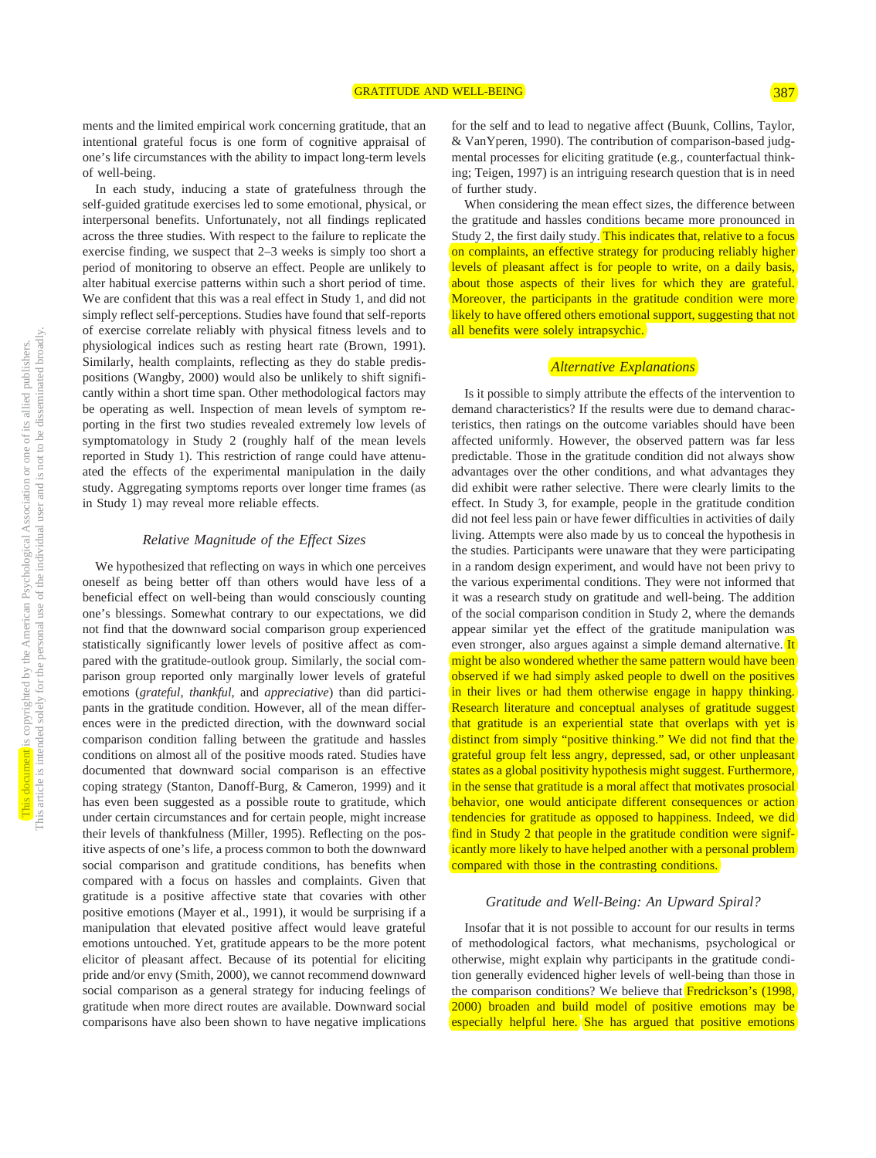ments and the limited empirical work concerning gratitude, that an intentional grateful focus is one form of cognitive appraisal of one's life circumstances with the ability to impact long-term levels of well-being.

In each study, inducing a state of gratefulness through the self-guided gratitude exercises led to some emotional, physical, or interpersonal benefits. Unfortunately, not all findings replicated across the three studies. With respect to the failure to replicate the exercise finding, we suspect that 2–3 weeks is simply too short a period of monitoring to observe an effect. People are unlikely to alter habitual exercise patterns within such a short period of time. We are confident that this was a real effect in Study 1, and did not simply reflect self-perceptions. Studies have found that self-reports of exercise correlate reliably with physical fitness levels and to physiological indices such as resting heart rate (Brown, 1991). Similarly, health complaints, reflecting as they do stable predispositions (Wangby, 2000) would also be unlikely to shift significantly within a short time span. Other methodological factors may be operating as well. Inspection of mean levels of symptom reporting in the first two studies revealed extremely low levels of symptomatology in Study 2 (roughly half of the mean levels reported in Study 1). This restriction of range could have attenuated the effects of the experimental manipulation in the daily study. Aggregating symptoms reports over longer time frames (as in Study 1) may reveal more reliable effects.

# *Relative Magnitude of the Effect Sizes*

We hypothesized that reflecting on ways in which one perceives oneself as being better off than others would have less of a beneficial effect on well-being than would consciously counting one's blessings. Somewhat contrary to our expectations, we did not find that the downward social comparison group experienced statistically significantly lower levels of positive affect as compared with the gratitude-outlook group. Similarly, the social comparison group reported only marginally lower levels of grateful emotions (*grateful*, *thankful*, and *appreciative*) than did participants in the gratitude condition. However, all of the mean differences were in the predicted direction, with the downward social comparison condition falling between the gratitude and hassles conditions on almost all of the positive moods rated. Studies have documented that downward social comparison is an effective coping strategy (Stanton, Danoff-Burg, & Cameron, 1999) and it has even been suggested as a possible route to gratitude, which under certain circumstances and for certain people, might increase their levels of thankfulness (Miller, 1995). Reflecting on the positive aspects of one's life, a process common to both the downward social comparison and gratitude conditions, has benefits when compared with a focus on hassles and complaints. Given that gratitude is a positive affective state that covaries with other positive emotions (Mayer et al., 1991), it would be surprising if a manipulation that elevated positive affect would leave grateful emotions untouched. Yet, gratitude appears to be the more potent elicitor of pleasant affect. Because of its potential for eliciting pride and/or envy (Smith, 2000), we cannot recommend downward social comparison as a general strategy for inducing feelings of gratitude when more direct routes are available. Downward social comparisons have also been shown to have negative implications for the self and to lead to negative affect (Buunk, Collins, Taylor, & VanYperen, 1990). The contribution of comparison-based judgmental processes for eliciting gratitude (e.g., counterfactual thinking; Teigen, 1997) is an intriguing research question that is in need of further study.

When considering the mean effect sizes, the difference between the gratitude and hassles conditions became more pronounced in Study 2, the first daily study. This indicates that, relative to a focus on complaints, an effective strategy for producing reliably higher levels of pleasant affect is for people to write, on a daily basis, about those aspects of their lives for which they are grateful. Moreover, the participants in the gratitude condition were more likely to have offered others emotional support, suggesting that not all benefits were solely intrapsychic.

## *Alternative Explanations*

Is it possible to simply attribute the effects of the intervention to demand characteristics? If the results were due to demand characteristics, then ratings on the outcome variables should have been affected uniformly. However, the observed pattern was far less predictable. Those in the gratitude condition did not always show advantages over the other conditions, and what advantages they did exhibit were rather selective. There were clearly limits to the effect. In Study 3, for example, people in the gratitude condition did not feel less pain or have fewer difficulties in activities of daily living. Attempts were also made by us to conceal the hypothesis in the studies. Participants were unaware that they were participating in a random design experiment, and would have not been privy to the various experimental conditions. They were not informed that it was a research study on gratitude and well-being. The addition of the social comparison condition in Study 2, where the demands appear similar yet the effect of the gratitude manipulation was even stronger, also argues against a simple demand alternative. It might be also wondered whether the same pattern would have been observed if we had simply asked people to dwell on the positives in their lives or had them otherwise engage in happy thinking. Research literature and conceptual analyses of gratitude suggest that gratitude is an experiential state that overlaps with yet is distinct from simply "positive thinking." We did not find that the grateful group felt less angry, depressed, sad, or other unpleasant states as a global positivity hypothesis might suggest. Furthermore, in the sense that gratitude is a moral affect that motivates prosocial behavior, one would anticipate different consequences or action tendencies for gratitude as opposed to happiness. Indeed, we did find in Study 2 that people in the gratitude condition were significantly more likely to have helped another with a personal problem compared with those in the contrasting conditions.

# *Gratitude and Well-Being: An Upward Spiral?*

Insofar that it is not possible to account for our results in terms of methodological factors, what mechanisms, psychological or otherwise, might explain why participants in the gratitude condition generally evidenced higher levels of well-being than those in the comparison conditions? We believe that Fredrickson's (1998, 2000) broaden and build model of positive emotions may be especially helpful here. She has argued that positive emotions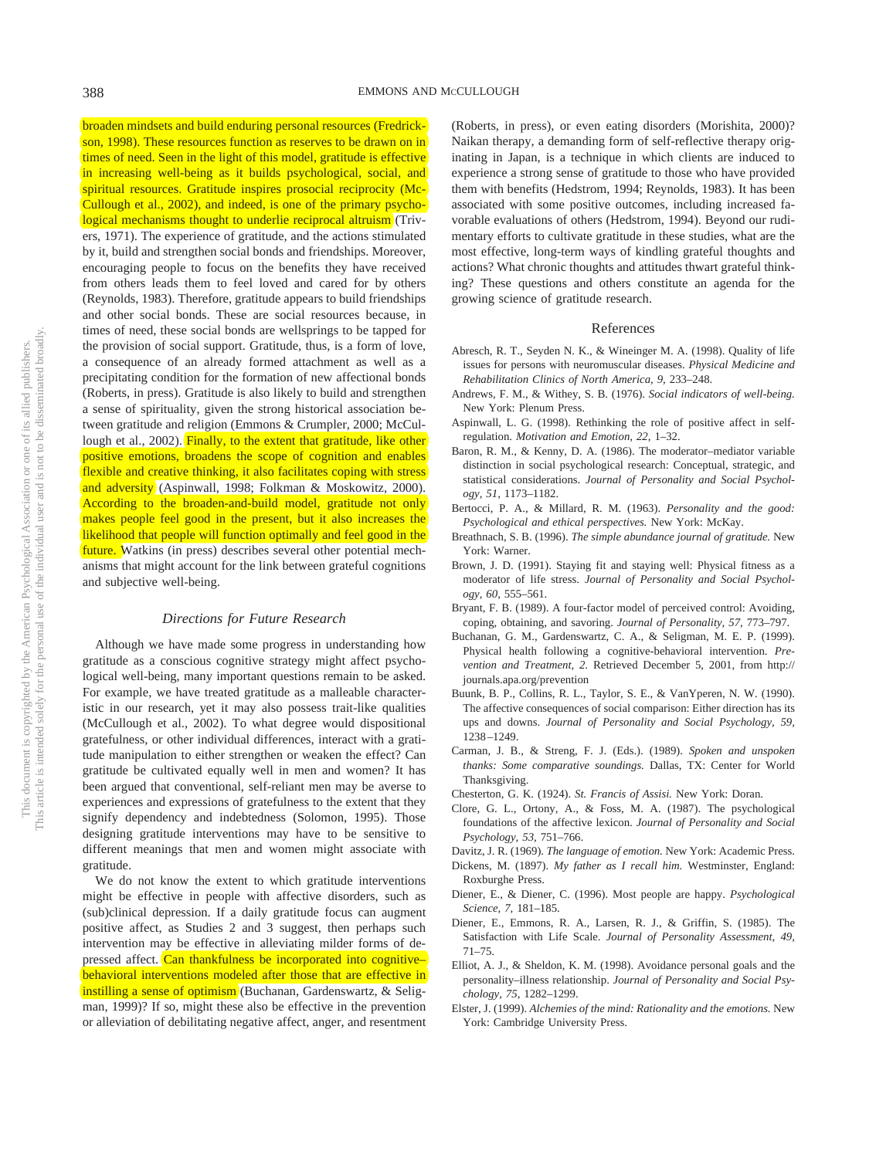broaden mindsets and build enduring personal resources (Fredrickson, 1998). These resources function as reserves to be drawn on in times of need. Seen in the light of this model, gratitude is effective in increasing well-being as it builds psychological, social, and spiritual resources. Gratitude inspires prosocial reciprocity (Mc-Cullough et al., 2002), and indeed, is one of the primary psychological mechanisms thought to underlie reciprocal altruism (Trivers, 1971). The experience of gratitude, and the actions stimulated by it, build and strengthen social bonds and friendships. Moreover, encouraging people to focus on the benefits they have received from others leads them to feel loved and cared for by others (Reynolds, 1983). Therefore, gratitude appears to build friendships and other social bonds. These are social resources because, in times of need, these social bonds are wellsprings to be tapped for the provision of social support. Gratitude, thus, is a form of love, a consequence of an already formed attachment as well as a precipitating condition for the formation of new affectional bonds (Roberts, in press). Gratitude is also likely to build and strengthen a sense of spirituality, given the strong historical association between gratitude and religion (Emmons & Crumpler, 2000; McCullough et al., 2002). Finally, to the extent that gratitude, like other positive emotions, broadens the scope of cognition and enables flexible and creative thinking, it also facilitates coping with stress and adversity (Aspinwall, 1998; Folkman & Moskowitz, 2000). According to the broaden-and-build model, gratitude not only makes people feel good in the present, but it also increases the likelihood that people will function optimally and feel good in the future. Watkins (in press) describes several other potential mechanisms that might account for the link between grateful cognitions and subjective well-being.

## *Directions for Future Research*

Although we have made some progress in understanding how gratitude as a conscious cognitive strategy might affect psychological well-being, many important questions remain to be asked. For example, we have treated gratitude as a malleable characteristic in our research, yet it may also possess trait-like qualities (McCullough et al., 2002). To what degree would dispositional gratefulness, or other individual differences, interact with a gratitude manipulation to either strengthen or weaken the effect? Can gratitude be cultivated equally well in men and women? It has been argued that conventional, self-reliant men may be averse to experiences and expressions of gratefulness to the extent that they signify dependency and indebtedness (Solomon, 1995). Those designing gratitude interventions may have to be sensitive to different meanings that men and women might associate with gratitude.

We do not know the extent to which gratitude interventions might be effective in people with affective disorders, such as (sub)clinical depression. If a daily gratitude focus can augment positive affect, as Studies 2 and 3 suggest, then perhaps such intervention may be effective in alleviating milder forms of depressed affect. Can thankfulness be incorporated into cognitive– behavioral interventions modeled after those that are effective in instilling a sense of optimism (Buchanan, Gardenswartz, & Seligman, 1999)? If so, might these also be effective in the prevention or alleviation of debilitating negative affect, anger, and resentment

(Roberts, in press), or even eating disorders (Morishita, 2000)? Naikan therapy, a demanding form of self-reflective therapy originating in Japan, is a technique in which clients are induced to experience a strong sense of gratitude to those who have provided them with benefits (Hedstrom, 1994; Reynolds, 1983). It has been associated with some positive outcomes, including increased favorable evaluations of others (Hedstrom, 1994). Beyond our rudimentary efforts to cultivate gratitude in these studies, what are the most effective, long-term ways of kindling grateful thoughts and actions? What chronic thoughts and attitudes thwart grateful thinking? These questions and others constitute an agenda for the growing science of gratitude research.

#### References

- Abresch, R. T., Seyden N. K., & Wineinger M. A. (1998). Quality of life issues for persons with neuromuscular diseases. *Physical Medicine and Rehabilitation Clinics of North America, 9,* 233–248.
- Andrews, F. M., & Withey, S. B. (1976). *Social indicators of well-being.* New York: Plenum Press.
- Aspinwall, L. G. (1998). Rethinking the role of positive affect in selfregulation. *Motivation and Emotion, 22,* 1–32.
- Baron, R. M., & Kenny, D. A. (1986). The moderator–mediator variable distinction in social psychological research: Conceptual, strategic, and statistical considerations. *Journal of Personality and Social Psychology, 51,* 1173–1182.
- Bertocci, P. A., & Millard, R. M. (1963). *Personality and the good: Psychological and ethical perspectives.* New York: McKay.
- Breathnach, S. B. (1996). *The simple abundance journal of gratitude.* New York: Warner.
- Brown, J. D. (1991). Staying fit and staying well: Physical fitness as a moderator of life stress. *Journal of Personality and Social Psychology, 60,* 555–561.
- Bryant, F. B. (1989). A four-factor model of perceived control: Avoiding, coping, obtaining, and savoring. *Journal of Personality, 57,* 773–797.
- Buchanan, G. M., Gardenswartz, C. A., & Seligman, M. E. P. (1999). Physical health following a cognitive-behavioral intervention. *Prevention and Treatment, 2.* Retrieved December 5, 2001, from http:// journals.apa.org/prevention
- Buunk, B. P., Collins, R. L., Taylor, S. E., & VanYperen, N. W. (1990). The affective consequences of social comparison: Either direction has its ups and downs. *Journal of Personality and Social Psychology, 59,* 1238–1249.
- Carman, J. B., & Streng, F. J. (Eds.). (1989). *Spoken and unspoken thanks: Some comparative soundings.* Dallas, TX: Center for World Thanksgiving.
- Chesterton, G. K. (1924). *St. Francis of Assisi.* New York: Doran.
- Clore, G. L., Ortony, A., & Foss, M. A. (1987). The psychological foundations of the affective lexicon. *Journal of Personality and Social Psychology, 53,* 751–766.
- Davitz, J. R. (1969). *The language of emotion.* New York: Academic Press.
- Dickens, M. (1897). *My father as I recall him.* Westminster, England: Roxburghe Press.
- Diener, E., & Diener, C. (1996). Most people are happy. *Psychological Science, 7,* 181–185.
- Diener, E., Emmons, R. A., Larsen, R. J., & Griffin, S. (1985). The Satisfaction with Life Scale. *Journal of Personality Assessment, 49,* 71–75.
- Elliot, A. J., & Sheldon, K. M. (1998). Avoidance personal goals and the personality–illness relationship. *Journal of Personality and Social Psychology, 75,* 1282–1299.
- Elster, J. (1999). *Alchemies of the mind: Rationality and the emotions.* New York: Cambridge University Press.